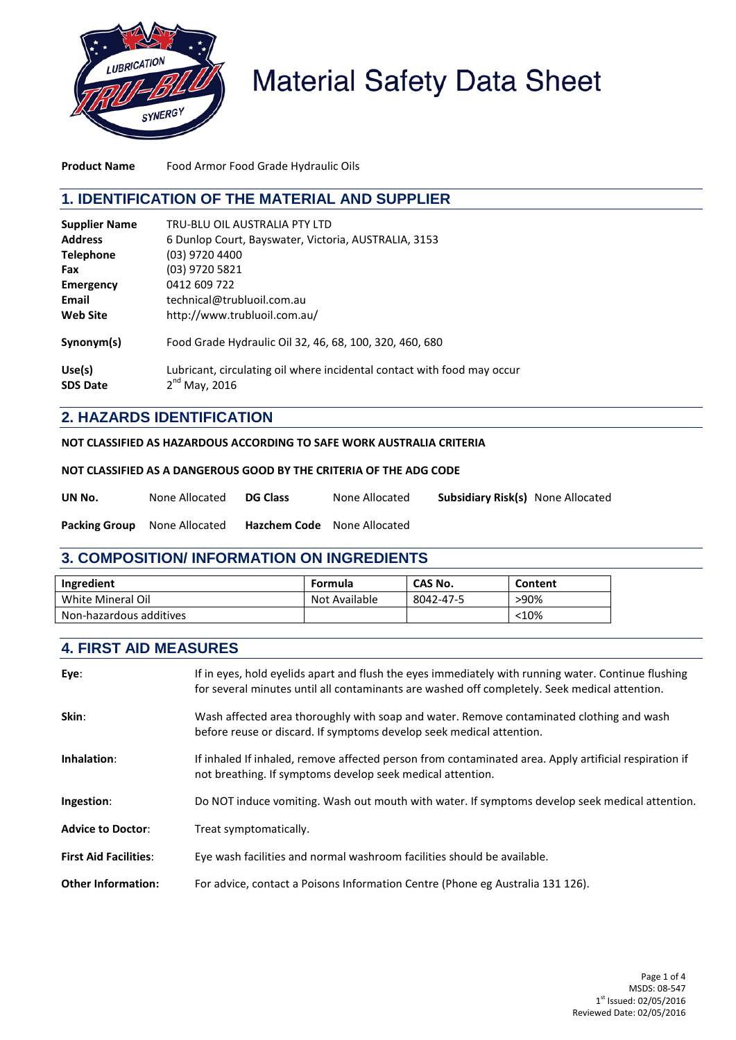

# **Material Safety Data Sheet**

**Product Name** Food Armor Food Grade Hydraulic Oils

#### **1. IDENTIFICATION OF THE MATERIAL AND SUPPLIER**

| <b>Supplier Name</b> | TRU-BLU OIL AUSTRALIA PTY LTD                                           |
|----------------------|-------------------------------------------------------------------------|
| <b>Address</b>       | 6 Dunlop Court, Bayswater, Victoria, AUSTRALIA, 3153                    |
| <b>Telephone</b>     | (03) 9720 4400                                                          |
| Fax                  | (03) 9720 5821                                                          |
| <b>Emergency</b>     | 0412 609 722                                                            |
| Email                | technical@trubluoil.com.au                                              |
| <b>Web Site</b>      | http://www.trubluoil.com.au/                                            |
| Synonym(s)           | Food Grade Hydraulic Oil 32, 46, 68, 100, 320, 460, 680                 |
| Use(s)               | Lubricant, circulating oil where incidental contact with food may occur |
| <b>SDS Date</b>      | $2nd$ May, 2016                                                         |

## **2. HAZARDS IDENTIFICATION**

**NOT CLASSIFIED AS HAZARDOUS ACCORDING TO SAFE WORK AUSTRALIA CRITERIA**

#### **NOT CLASSIFIED AS A DANGEROUS GOOD BY THE CRITERIA OF THE ADG CODE**

| UN No.                              | None Allocated | <b>DG Class</b>                    | None Allocated | <b>Subsidiary Risk(s)</b> None Allocated |  |
|-------------------------------------|----------------|------------------------------------|----------------|------------------------------------------|--|
| <b>Packing Group</b> None Allocated |                | <b>Hazchem Code</b> None Allocated |                |                                          |  |

## **3. COMPOSITION/ INFORMATION ON INGREDIENTS**

| Ingredient              | <b>Formula</b> | CAS No.   | Content |
|-------------------------|----------------|-----------|---------|
| White Mineral Oil       | Not Available  | 8042-47-5 | >90%    |
| Non-hazardous additives |                |           | < 10%   |

### **4. FIRST AID MEASURES**

| Eye:                         | If in eyes, hold eyelids apart and flush the eyes immediately with running water. Continue flushing<br>for several minutes until all contaminants are washed off completely. Seek medical attention. |
|------------------------------|------------------------------------------------------------------------------------------------------------------------------------------------------------------------------------------------------|
| Skin:                        | Wash affected area thoroughly with soap and water. Remove contaminated clothing and wash<br>before reuse or discard. If symptoms develop seek medical attention.                                     |
| Inhalation:                  | If inhaled If inhaled, remove affected person from contaminated area. Apply artificial respiration if<br>not breathing. If symptoms develop seek medical attention.                                  |
| Ingestion:                   | Do NOT induce vomiting. Wash out mouth with water. If symptoms develop seek medical attention.                                                                                                       |
| <b>Advice to Doctor:</b>     | Treat symptomatically.                                                                                                                                                                               |
| <b>First Aid Facilities:</b> | Eye wash facilities and normal washroom facilities should be available.                                                                                                                              |
| <b>Other Information:</b>    | For advice, contact a Poisons Information Centre (Phone eg Australia 131 126).                                                                                                                       |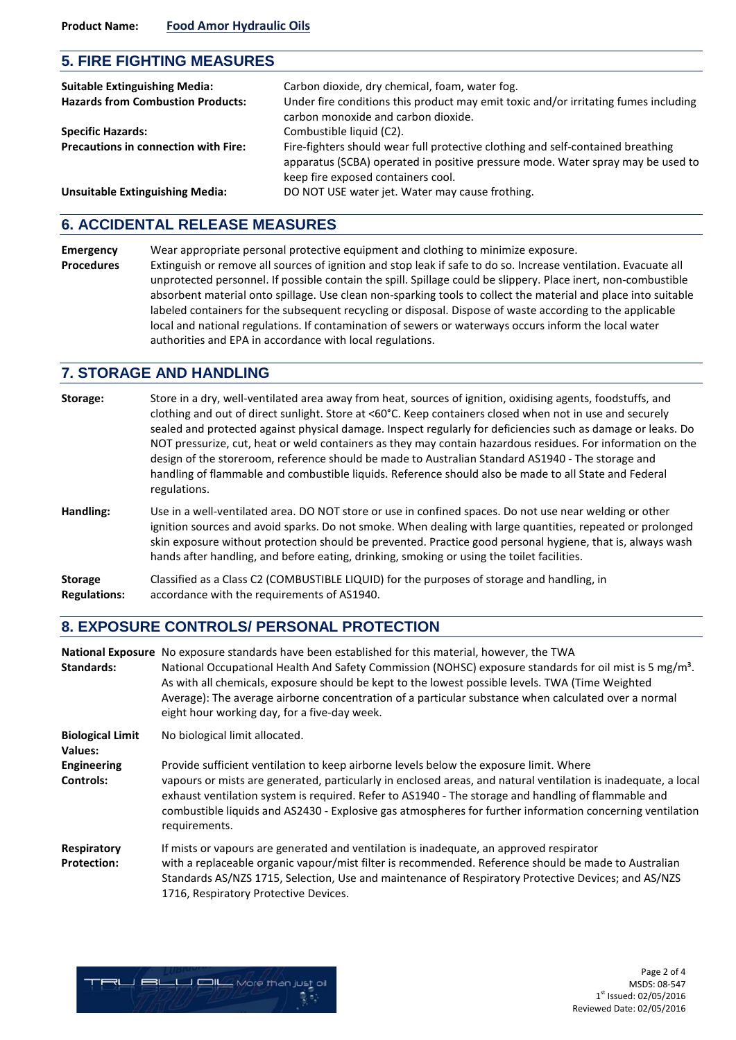#### **5. FIRE FIGHTING MEASURES**

| <b>Suitable Extinguishing Media:</b><br><b>Hazards from Combustion Products:</b> | Carbon dioxide, dry chemical, foam, water fog.<br>Under fire conditions this product may emit toxic and/or irritating fumes including<br>carbon monoxide and carbon dioxide.                             |
|----------------------------------------------------------------------------------|----------------------------------------------------------------------------------------------------------------------------------------------------------------------------------------------------------|
| <b>Specific Hazards:</b>                                                         | Combustible liquid (C2).                                                                                                                                                                                 |
| <b>Precautions in connection with Fire:</b>                                      | Fire-fighters should wear full protective clothing and self-contained breathing<br>apparatus (SCBA) operated in positive pressure mode. Water spray may be used to<br>keep fire exposed containers cool. |
| <b>Unsuitable Extinguishing Media:</b>                                           | DO NOT USE water jet. Water may cause frothing.                                                                                                                                                          |

## **6. ACCIDENTAL RELEASE MEASURES**

**Emergency** Wear appropriate personal protective equipment and clothing to minimize exposure. **Procedures** Extinguish or remove all sources of ignition and stop leak if safe to do so. Increase ventilation. Evacuate all unprotected personnel. If possible contain the spill. Spillage could be slippery. Place inert, non-combustible absorbent material onto spillage. Use clean non-sparking tools to collect the material and place into suitable labeled containers for the subsequent recycling or disposal. Dispose of waste according to the applicable local and national regulations. If contamination of sewers or waterways occurs inform the local water authorities and EPA in accordance with local regulations.

#### **7. STORAGE AND HANDLING**

| Storage:      | Store in a dry, well-ventilated area away from heat, sources of ignition, oxidising agents, foodstuffs, and<br>clothing and out of direct sunlight. Store at <60°C. Keep containers closed when not in use and securely<br>sealed and protected against physical damage. Inspect regularly for deficiencies such as damage or leaks. Do<br>NOT pressurize, cut, heat or weld containers as they may contain hazardous residues. For information on the<br>design of the storeroom, reference should be made to Australian Standard AS1940 - The storage and<br>handling of flammable and combustible liquids. Reference should also be made to all State and Federal<br>regulations. |
|---------------|--------------------------------------------------------------------------------------------------------------------------------------------------------------------------------------------------------------------------------------------------------------------------------------------------------------------------------------------------------------------------------------------------------------------------------------------------------------------------------------------------------------------------------------------------------------------------------------------------------------------------------------------------------------------------------------|
| Handling:     | Use in a well-ventilated area. DO NOT store or use in confined spaces. Do not use near welding or other<br>ignition sources and avoid sparks. Do not smoke. When dealing with large quantities, repeated or prolonged<br>skin exposure without protection should be prevented. Practice good personal hygiene, that is, always wash<br>hands after handling, and before eating, drinking, smoking or using the toilet facilities.                                                                                                                                                                                                                                                    |
| <b>CL-323</b> |                                                                                                                                                                                                                                                                                                                                                                                                                                                                                                                                                                                                                                                                                      |

**Storage** Classified as a Class C2 (COMBUSTIBLE LIQUID) for the purposes of storage and handling, in **Regulations:** accordance with the requirements of AS1940.

#### **8. EXPOSURE CONTROLS/ PERSONAL PROTECTION**

| <b>Standards:</b>                      | National Exposure No exposure standards have been established for this material, however, the TWA<br>National Occupational Health And Safety Commission (NOHSC) exposure standards for oil mist is 5 mg/m <sup>3</sup> .<br>As with all chemicals, exposure should be kept to the lowest possible levels. TWA (Time Weighted<br>Average): The average airborne concentration of a particular substance when calculated over a normal<br>eight hour working day, for a five-day week. |
|----------------------------------------|--------------------------------------------------------------------------------------------------------------------------------------------------------------------------------------------------------------------------------------------------------------------------------------------------------------------------------------------------------------------------------------------------------------------------------------------------------------------------------------|
| <b>Biological Limit</b><br>Values:     | No biological limit allocated.                                                                                                                                                                                                                                                                                                                                                                                                                                                       |
| <b>Engineering</b><br><b>Controls:</b> | Provide sufficient ventilation to keep airborne levels below the exposure limit. Where<br>vapours or mists are generated, particularly in enclosed areas, and natural ventilation is inadequate, a local<br>exhaust ventilation system is required. Refer to AS1940 - The storage and handling of flammable and<br>combustible liquids and AS2430 - Explosive gas atmospheres for further information concerning ventilation<br>requirements.                                        |
| Respiratory<br><b>Protection:</b>      | If mists or vapours are generated and ventilation is inadequate, an approved respirator<br>with a replaceable organic vapour/mist filter is recommended. Reference should be made to Australian<br>Standards AS/NZS 1715, Selection, Use and maintenance of Respiratory Protective Devices; and AS/NZS<br>1716, Respiratory Protective Devices.                                                                                                                                      |

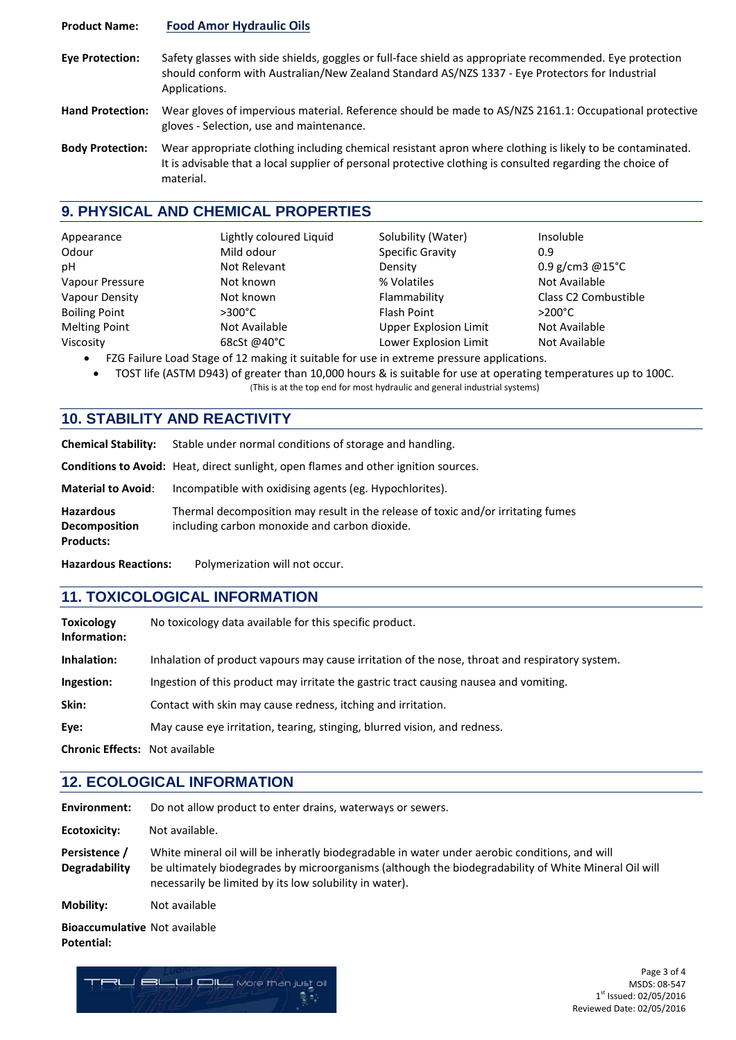#### **Product Name: Food Amor Hydraulic Oils**

- **Eye Protection:** Safety glasses with side shields, goggles or full-face shield as appropriate recommended. Eye protection should conform with Australian/New Zealand Standard AS/NZS 1337 - Eye Protectors for Industrial Applications.
- **Hand Protection:** Wear gloves of impervious material. Reference should be made to AS/NZS 2161.1: Occupational protective gloves - Selection, use and maintenance.
- **Body Protection:** Wear appropriate clothing including chemical resistant apron where clothing is likely to be contaminated. It is advisable that a local supplier of personal protective clothing is consulted regarding the choice of material.

## **9. PHYSICAL AND CHEMICAL PROPERTIES**

| Appearance           | Lightly coloured Liquid | Solubility (Water)      | Insoluble                        |
|----------------------|-------------------------|-------------------------|----------------------------------|
| Odour                | Mild odour              | <b>Specific Gravity</b> | 0.9                              |
| рH                   | Not Relevant            | Density                 | $0.9$ g/cm3 @15°C                |
| Vapour Pressure      | Not known               | % Volatiles             | Not Available                    |
| Vapour Density       | Not known               | Flammability            | Class C <sub>2</sub> Combustible |
| <b>Boiling Point</b> | $>300^{\circ}$ C        | <b>Flash Point</b>      | $>200^{\circ}$ C                 |
| <b>Melting Point</b> | Not Available           | Upper Explosion Limit   | Not Available                    |
| Viscosity            | 68cSt @40°C             | Lower Explosion Limit   | Not Available                    |

- FZG Failure Load Stage of 12 making it suitable for use in extreme pressure applications.
	- TOST life (ASTM D943) of greater than 10,000 hours & is suitable for use at operating temperatures up to 100C. (This is at the top end for most hydraulic and general industrial systems)

## **10. STABILITY AND REACTIVITY**

| Usaassana Doostionee                                         | Dolumestration will not occur                                                                                                     |
|--------------------------------------------------------------|-----------------------------------------------------------------------------------------------------------------------------------|
| <b>Hazardous</b><br><b>Decomposition</b><br><b>Products:</b> | Thermal decomposition may result in the release of toxic and/or irritating fumes<br>including carbon monoxide and carbon dioxide. |
| <b>Material to Avoid:</b>                                    | Incompatible with oxidising agents (eg. Hypochlorites).                                                                           |
|                                                              | <b>Conditions to Avoid:</b> Heat, direct sunlight, open flames and other ignition sources.                                        |
| <b>Chemical Stability:</b>                                   | Stable under normal conditions of storage and handling.                                                                           |

**Hazardous Reactions:** Polymerization will not occur.

#### **11. TOXICOLOGICAL INFORMATION**

| <b>Toxicology</b><br>Information:     | No toxicology data available for this specific product.                                        |
|---------------------------------------|------------------------------------------------------------------------------------------------|
| Inhalation:                           | Inhalation of product vapours may cause irritation of the nose, throat and respiratory system. |
| Ingestion:                            | Ingestion of this product may irritate the gastric tract causing nausea and vomiting.          |
| Skin:                                 | Contact with skin may cause redness, itching and irritation.                                   |
| Eye:                                  | May cause eye irritation, tearing, stinging, blurred vision, and redness.                      |
| <b>Chronic Effects: Not available</b> |                                                                                                |

## **12. ECOLOGICAL INFORMATION**

| Environment:                          | Do not allow product to enter drains, waterways or sewers.                                                                                                                                                                                                       |
|---------------------------------------|------------------------------------------------------------------------------------------------------------------------------------------------------------------------------------------------------------------------------------------------------------------|
| Ecotoxicity:                          | Not available.                                                                                                                                                                                                                                                   |
| Persistence /<br><b>Degradability</b> | White mineral oil will be inheratly biodegradable in water under aerobic conditions, and will<br>be ultimately biodegrades by microorganisms (although the biodegradability of White Mineral Oil will<br>necessarily be limited by its low solubility in water). |
| <b>Mobility:</b>                      | Not available                                                                                                                                                                                                                                                    |
| <b>Bioaccumulative Not available</b>  |                                                                                                                                                                                                                                                                  |

**Potential:**



Page 3 of 4 MSDS: 08-547 1st Issued: 02/05/2016 Reviewed Date: 02/05/2016